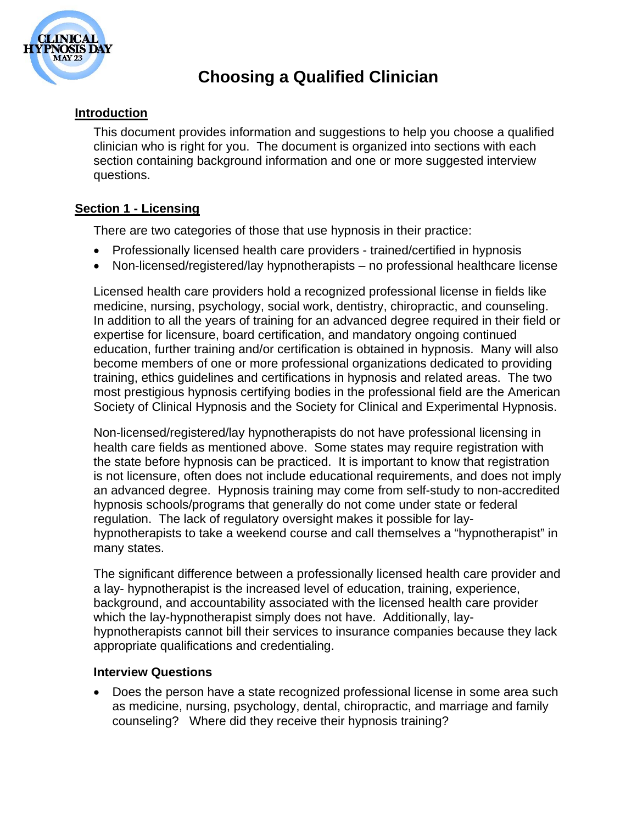

## **Choosing a Qualified Clinician**

### **Introduction**

This document provides information and suggestions to help you choose a qualified clinician who is right for you. The document is organized into sections with each section containing background information and one or more suggested interview questions.

## **Section 1 - Licensing**

There are two categories of those that use hypnosis in their practice:

- Professionally licensed health care providers trained/certified in hypnosis
- Non-licensed/registered/lay hypnotherapists no professional healthcare license

Licensed health care providers hold a recognized professional license in fields like medicine, nursing, psychology, social work, dentistry, chiropractic, and counseling. In addition to all the years of training for an advanced degree required in their field or expertise for licensure, board certification, and mandatory ongoing continued education, further training and/or certification is obtained in hypnosis. Many will also become members of one or more professional organizations dedicated to providing training, ethics guidelines and certifications in hypnosis and related areas. The two most prestigious hypnosis certifying bodies in the professional field are the American Society of Clinical Hypnosis and the Society for Clinical and Experimental Hypnosis.

Non-licensed/registered/lay hypnotherapists do not have professional licensing in health care fields as mentioned above. Some states may require registration with the state before hypnosis can be practiced. It is important to know that registration is not licensure, often does not include educational requirements, and does not imply an advanced degree. Hypnosis training may come from self-study to non-accredited hypnosis schools/programs that generally do not come under state or federal regulation. The lack of regulatory oversight makes it possible for layhypnotherapists to take a weekend course and call themselves a "hypnotherapist" in many states.

The significant difference between a professionally licensed health care provider and a lay- hypnotherapist is the increased level of education, training, experience, background, and accountability associated with the licensed health care provider which the lay-hypnotherapist simply does not have. Additionally, layhypnotherapists cannot bill their services to insurance companies because they lack appropriate qualifications and credentialing.

#### **Interview Questions**

 Does the person have a state recognized professional license in some area such as medicine, nursing, psychology, dental, chiropractic, and marriage and family counseling? Where did they receive their hypnosis training?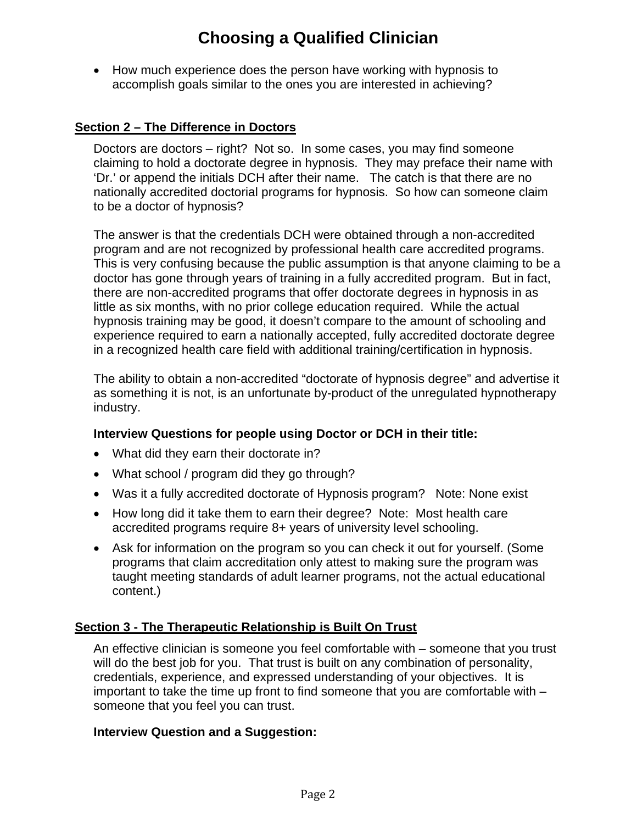# **Choosing a Qualified Clinician**

• How much experience does the person have working with hypnosis to accomplish goals similar to the ones you are interested in achieving?

### **Section 2 – The Difference in Doctors**

Doctors are doctors – right? Not so. In some cases, you may find someone claiming to hold a doctorate degree in hypnosis. They may preface their name with 'Dr.' or append the initials DCH after their name. The catch is that there are no nationally accredited doctorial programs for hypnosis. So how can someone claim to be a doctor of hypnosis?

The answer is that the credentials DCH were obtained through a non-accredited program and are not recognized by professional health care accredited programs. This is very confusing because the public assumption is that anyone claiming to be a doctor has gone through years of training in a fully accredited program. But in fact, there are non-accredited programs that offer doctorate degrees in hypnosis in as little as six months, with no prior college education required. While the actual hypnosis training may be good, it doesn't compare to the amount of schooling and experience required to earn a nationally accepted, fully accredited doctorate degree in a recognized health care field with additional training/certification in hypnosis.

The ability to obtain a non-accredited "doctorate of hypnosis degree" and advertise it as something it is not, is an unfortunate by-product of the unregulated hypnotherapy industry.

#### **Interview Questions for people using Doctor or DCH in their title:**

- What did they earn their doctorate in?
- What school / program did they go through?
- Was it a fully accredited doctorate of Hypnosis program? Note: None exist
- How long did it take them to earn their degree? Note: Most health care accredited programs require 8+ years of university level schooling.
- Ask for information on the program so you can check it out for yourself. (Some programs that claim accreditation only attest to making sure the program was taught meeting standards of adult learner programs, not the actual educational content.)

#### **Section 3 - The Therapeutic Relationship is Built On Trust**

An effective clinician is someone you feel comfortable with – someone that you trust will do the best job for you. That trust is built on any combination of personality, credentials, experience, and expressed understanding of your objectives. It is important to take the time up front to find someone that you are comfortable with – someone that you feel you can trust.

#### **Interview Question and a Suggestion:**